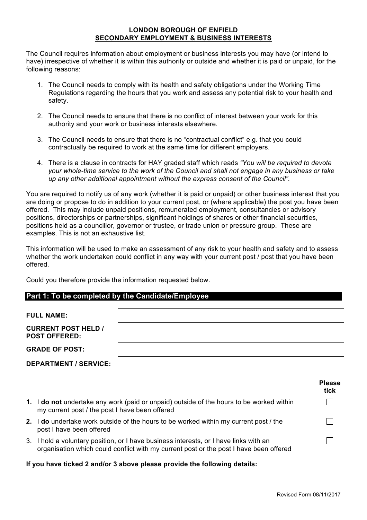## **LONDON BOROUGH OF ENFIELD SECONDARY EMPLOYMENT & BUSINESS INTERESTS**

The Council requires information about employment or business interests you may have (or intend to have) irrespective of whether it is within this authority or outside and whether it is paid or unpaid, for the following reasons:

- 1. The Council needs to comply with its health and safety obligations under the Working Time Regulations regarding the hours that you work and assess any potential risk to your health and safety.
- 2. The Council needs to ensure that there is no conflict of interest between your work for this authority and your work or business interests elsewhere.
- 3. The Council needs to ensure that there is no "contractual conflict" e.g. that you could contractually be required to work at the same time for different employers.
- 4. There is a clause in contracts for HAY graded staff which reads *"You will be required to devote your whole-time service to the work of the Council and shall not engage in any business or take up any other additional appointment without the express consent of the Council"*.

You are required to notify us of any work (whether it is paid or unpaid) or other business interest that you are doing or propose to do in addition to your current post, or (where applicable) the post you have been offered. This may include unpaid positions, remunerated employment, consultancies or advisory positions, directorships or partnerships, significant holdings of shares or other financial securities, positions held as a councillor, governor or trustee, or trade union or pressure group. These are examples. This is not an exhaustive list.

This information will be used to make an assessment of any risk to your health and safety and to assess whether the work undertaken could conflict in any way with your current post / post that you have been offered.

Could you therefore provide the information requested below.

# **Part 1: To be completed by the Candidate/Employee**

| <b>FULL NAME:</b>                                  |  |
|----------------------------------------------------|--|
| <b>CURRENT POST HELD /</b><br><b>POST OFFERED:</b> |  |
| <b>GRADE OF POST:</b>                              |  |
| <b>DEPARTMENT / SERVICE:</b>                       |  |

|    |                                                                                                                                                                                 | <b>Please</b><br>tick |
|----|---------------------------------------------------------------------------------------------------------------------------------------------------------------------------------|-----------------------|
|    | 1. I do not undertake any work (paid or unpaid) outside of the hours to be worked within<br>my current post / the post I have been offered                                      |                       |
| 2. | I do undertake work outside of the hours to be worked within my current post / the<br>post I have been offered                                                                  |                       |
|    | 3. I hold a voluntary position, or I have business interests, or I have links with an<br>organisation which could conflict with my current post or the post I have been offered |                       |

#### **If you have ticked 2 and/or 3 above please provide the following details:**